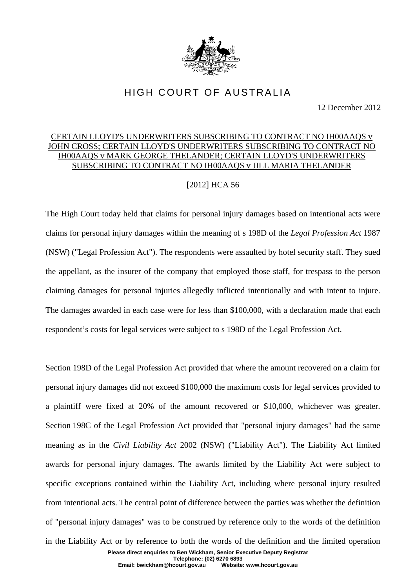

## HIGH COURT OF AUSTRALIA

12 December 2012

## CERTAIN LLOYD'S UNDERWRITERS SUBSCRIBING TO CONTRACT NO IH00AAQS v JOHN CROSS; CERTAIN LLOYD'S UNDERWRITERS SUBSCRIBING TO CONTRACT NO IH00AAQS v MARK GEORGE THELANDER; CERTAIN LLOYD'S UNDERWRITERS SUBSCRIBING TO CONTRACT NO IH00AAQS v JILL MARIA THELANDER

## [2012] HCA 56

The High Court today held that claims for personal injury damages based on intentional acts were claims for personal injury damages within the meaning of s 198D of the *Legal Profession Act* 1987 (NSW) ("Legal Profession Act"). The respondents were assaulted by hotel security staff. They sued the appellant, as the insurer of the company that employed those staff, for trespass to the person claiming damages for personal injuries allegedly inflicted intentionally and with intent to injure. The damages awarded in each case were for less than \$100,000, with a declaration made that each respondent's costs for legal services were subject to s 198D of the Legal Profession Act.

Section 198D of the Legal Profession Act provided that where the amount recovered on a claim for personal injury damages did not exceed \$100,000 the maximum costs for legal services provided to a plaintiff were fixed at 20% of the amount recovered or \$10,000, whichever was greater. Section 198C of the Legal Profession Act provided that "personal injury damages" had the same meaning as in the *Civil Liability Act* 2002 (NSW) ("Liability Act"). The Liability Act limited awards for personal injury damages. The awards limited by the Liability Act were subject to specific exceptions contained within the Liability Act, including where personal injury resulted from intentional acts. The central point of difference between the parties was whether the definition of "personal injury damages" was to be construed by reference only to the words of the definition in the Liability Act or by reference to both the words of the definition and the limited operation